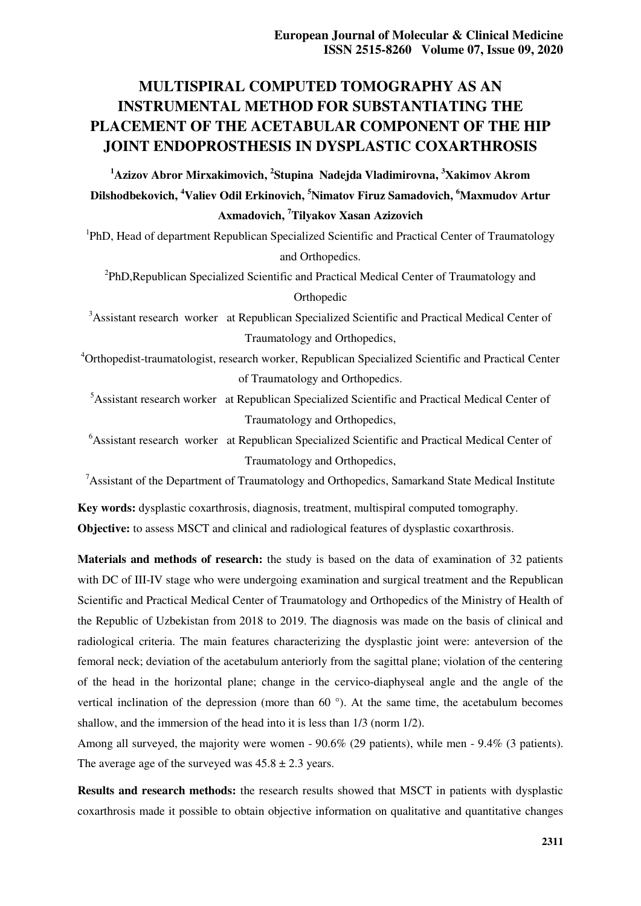# **MULTISPIRAL COMPUTED TOMOGRAPHY AS AN INSTRUMENTAL METHOD FOR SUBSTANTIATING THE PLACEMENT OF THE ACETABULAR COMPONENT OF THE HIP JOINT ENDOPROSTHESIS IN DYSPLASTIC COXARTHROSIS**

**<sup>1</sup>Azizov Abror Mirxakimovich, <sup>2</sup> Stupina Nadejda Vladimirovna, <sup>3</sup>Xakimov Аkrom Dilshodbekovich, <sup>4</sup>Valiev Odil Erkinovich, <sup>5</sup>Nimatov Firuz Samadovich, <sup>6</sup>Maxmudov Аrtur Аxmadovich, <sup>7</sup>Tilyakov Xasan Аzizovich** 

<sup>1</sup>PhD, Head of department Republican Specialized Scientific and Practical Center of Traumatology and Orthopedics.

<sup>2</sup>PhD, Republican Specialized Scientific and Practical Medical Center of Traumatology and Orthopedic

<sup>3</sup>Assistant research worker at Republican Specialized Scientific and Practical Medical Center of Traumatology and Orthopedics,

<sup>4</sup>Orthopedist-traumatologist, research worker, Republican Specialized Scientific and Practical Center of Traumatology and Orthopedics.

<sup>5</sup>Assistant research worker at Republican Specialized Scientific and Practical Medical Center of Traumatology and Orthopedics,

<sup>6</sup>Assistant research worker at Republican Specialized Scientific and Practical Medical Center of Traumatology and Orthopedics,

 $<sup>7</sup>$ Assistant of the Department of Traumatology and Orthopedics, Samarkand State Medical Institute</sup>

**Key words:** dysplastic coxarthrosis, diagnosis, treatment, multispiral computed tomography. **Objective:** to assess MSCT and clinical and radiological features of dysplastic coxarthrosis.

**Materials and methods of research:** the study is based on the data of examination of 32 patients with DC of III-IV stage who were undergoing examination and surgical treatment and the Republican Scientific and Practical Medical Center of Traumatology and Orthopedics of the Ministry of Health of the Republic of Uzbekistan from 2018 to 2019. The diagnosis was made on the basis of clinical and radiological criteria. The main features characterizing the dysplastic joint were: anteversion of the femoral neck; deviation of the acetabulum anteriorly from the sagittal plane; violation of the centering of the head in the horizontal plane; change in the cervico-diaphyseal angle and the angle of the vertical inclination of the depression (more than 60 °). At the same time, the acetabulum becomes shallow, and the immersion of the head into it is less than 1/3 (norm 1/2).

Among all surveyed, the majority were women - 90.6% (29 patients), while men - 9.4% (3 patients). The average age of the surveyed was  $45.8 \pm 2.3$  years.

**Results and research methods:** the research results showed that MSCT in patients with dysplastic coxarthrosis made it possible to obtain objective information on qualitative and quantitative changes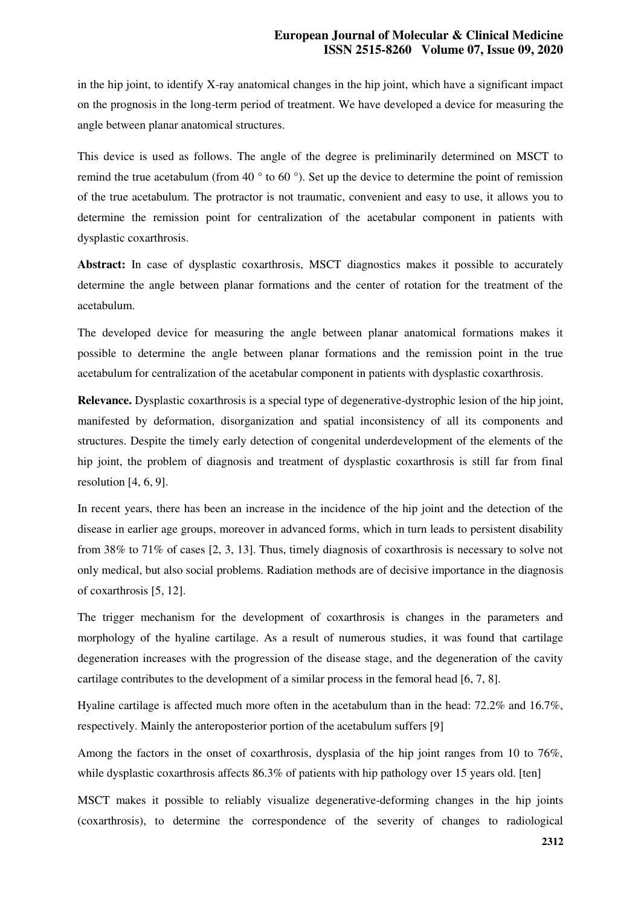in the hip joint, to identify X-ray anatomical changes in the hip joint, which have a significant impact on the prognosis in the long-term period of treatment. We have developed a device for measuring the angle between planar anatomical structures.

This device is used as follows. The angle of the degree is preliminarily determined on MSCT to remind the true acetabulum (from 40  $\degree$  to 60  $\degree$ ). Set up the device to determine the point of remission of the true acetabulum. The protractor is not traumatic, convenient and easy to use, it allows you to determine the remission point for centralization of the acetabular component in patients with dysplastic coxarthrosis.

**Abstract:** In case of dysplastic coxarthrosis, MSCT diagnostics makes it possible to accurately determine the angle between planar formations and the center of rotation for the treatment of the acetabulum.

The developed device for measuring the angle between planar anatomical formations makes it possible to determine the angle between planar formations and the remission point in the true acetabulum for centralization of the acetabular component in patients with dysplastic coxarthrosis.

**Relevance.** Dysplastic coxarthrosis is a special type of degenerative-dystrophic lesion of the hip joint, manifested by deformation, disorganization and spatial inconsistency of all its components and structures. Despite the timely early detection of congenital underdevelopment of the elements of the hip joint, the problem of diagnosis and treatment of dysplastic coxarthrosis is still far from final resolution [4, 6, 9].

In recent years, there has been an increase in the incidence of the hip joint and the detection of the disease in earlier age groups, moreover in advanced forms, which in turn leads to persistent disability from 38% to 71% of cases [2, 3, 13]. Thus, timely diagnosis of coxarthrosis is necessary to solve not only medical, but also social problems. Radiation methods are of decisive importance in the diagnosis of coxarthrosis [5, 12].

The trigger mechanism for the development of coxarthrosis is changes in the parameters and morphology of the hyaline cartilage. As a result of numerous studies, it was found that cartilage degeneration increases with the progression of the disease stage, and the degeneration of the cavity cartilage contributes to the development of a similar process in the femoral head [6, 7, 8].

Hyaline cartilage is affected much more often in the acetabulum than in the head: 72.2% and 16.7%, respectively. Mainly the anteroposterior portion of the acetabulum suffers [9]

Among the factors in the onset of coxarthrosis, dysplasia of the hip joint ranges from 10 to 76%, while dysplastic coxarthrosis affects 86.3% of patients with hip pathology over 15 years old. [ten]

MSCT makes it possible to reliably visualize degenerative-deforming changes in the hip joints (coxarthrosis), to determine the correspondence of the severity of changes to radiological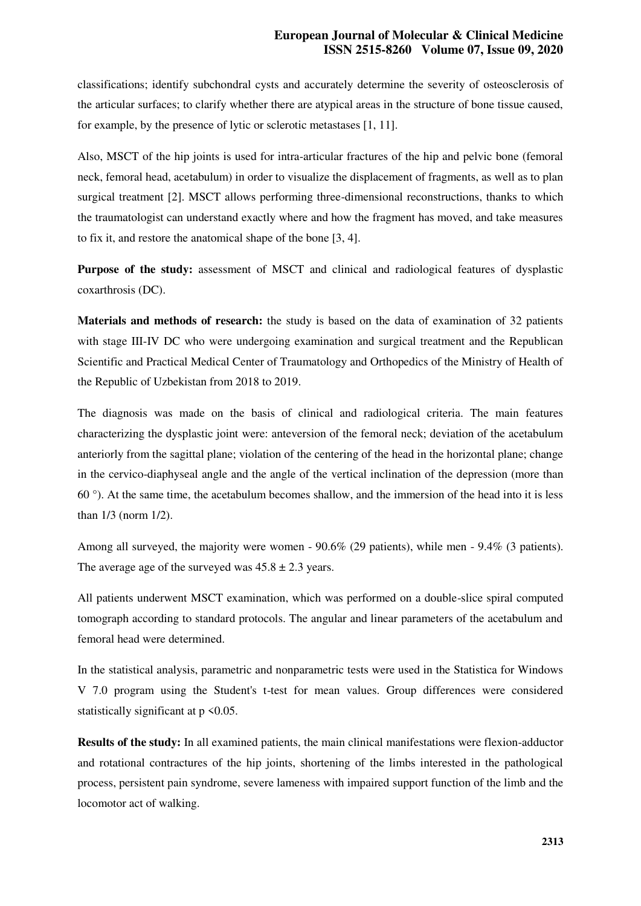### **European Journal of Molecular & Clinical Medicine ISSN 2515-8260 Volume 07, Issue 09, 2020**

classifications; identify subchondral cysts and accurately determine the severity of osteosclerosis of the articular surfaces; to clarify whether there are atypical areas in the structure of bone tissue caused, for example, by the presence of lytic or sclerotic metastases [1, 11].

Also, MSCT of the hip joints is used for intra-articular fractures of the hip and pelvic bone (femoral neck, femoral head, acetabulum) in order to visualize the displacement of fragments, as well as to plan surgical treatment [2]. MSCT allows performing three-dimensional reconstructions, thanks to which the traumatologist can understand exactly where and how the fragment has moved, and take measures to fix it, and restore the anatomical shape of the bone [3, 4].

**Purpose of the study:** assessment of MSCT and clinical and radiological features of dysplastic coxarthrosis (DC).

**Materials and methods of research:** the study is based on the data of examination of 32 patients with stage III-IV DC who were undergoing examination and surgical treatment and the Republican Scientific and Practical Medical Center of Traumatology and Orthopedics of the Ministry of Health of the Republic of Uzbekistan from 2018 to 2019.

The diagnosis was made on the basis of clinical and radiological criteria. The main features characterizing the dysplastic joint were: anteversion of the femoral neck; deviation of the acetabulum anteriorly from the sagittal plane; violation of the centering of the head in the horizontal plane; change in the cervico-diaphyseal angle and the angle of the vertical inclination of the depression (more than 60 °). At the same time, the acetabulum becomes shallow, and the immersion of the head into it is less than 1/3 (norm 1/2).

Among all surveyed, the majority were women - 90.6% (29 patients), while men - 9.4% (3 patients). The average age of the surveyed was  $45.8 \pm 2.3$  years.

All patients underwent MSCT examination, which was performed on a double-slice spiral computed tomograph according to standard protocols. The angular and linear parameters of the acetabulum and femoral head were determined.

In the statistical analysis, parametric and nonparametric tests were used in the Statistica for Windows V 7.0 program using the Student's t-test for mean values. Group differences were considered statistically significant at  $p \le 0.05$ .

**Results of the study:** In all examined patients, the main clinical manifestations were flexion-adductor and rotational contractures of the hip joints, shortening of the limbs interested in the pathological process, persistent pain syndrome, severe lameness with impaired support function of the limb and the locomotor act of walking.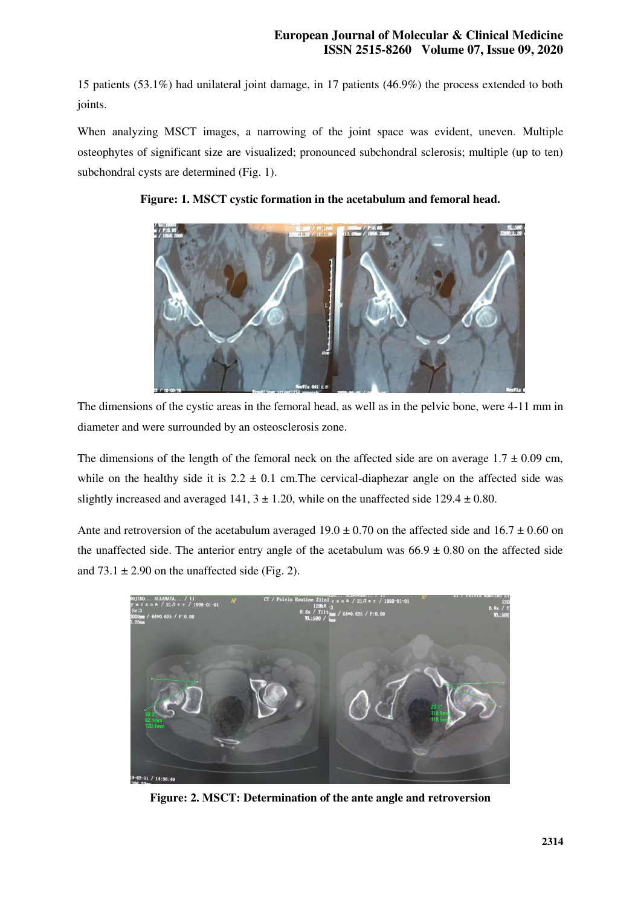15 patients (53.1%) had unilateral joint damage, in 17 patients (46.9%) the process extended to both joints.

When analyzing MSCT images, a narrowing of the joint space was evident, uneven. Multiple osteophytes of significant size are visualized; pronounced subchondral sclerosis; multiple (up to ten) subchondral cysts are determined (Fig. 1).



## **Figure: 1. MSCT cystic formation in the acetabulum and femoral head.**

The dimensions of the cystic areas in the femoral head, as well as in the pelvic bone, were 4-11 mm in diameter and were surrounded by an osteosclerosis zone.

The dimensions of the length of the femoral neck on the affected side are on average  $1.7 \pm 0.09$  cm, while on the healthy side it is  $2.2 \pm 0.1$  cm. The cervical-diaphezar angle on the affected side was slightly increased and averaged 141,  $3 \pm 1.20$ , while on the unaffected side 129.4  $\pm$  0.80.

Ante and retroversion of the acetabulum averaged  $19.0 \pm 0.70$  on the affected side and  $16.7 \pm 0.60$  on the unaffected side. The anterior entry angle of the acetabulum was  $66.9 \pm 0.80$  on the affected side and  $73.1 \pm 2.90$  on the unaffected side (Fig. 2).



**Figure: 2. MSCT: Determination of the ante angle and retroversion**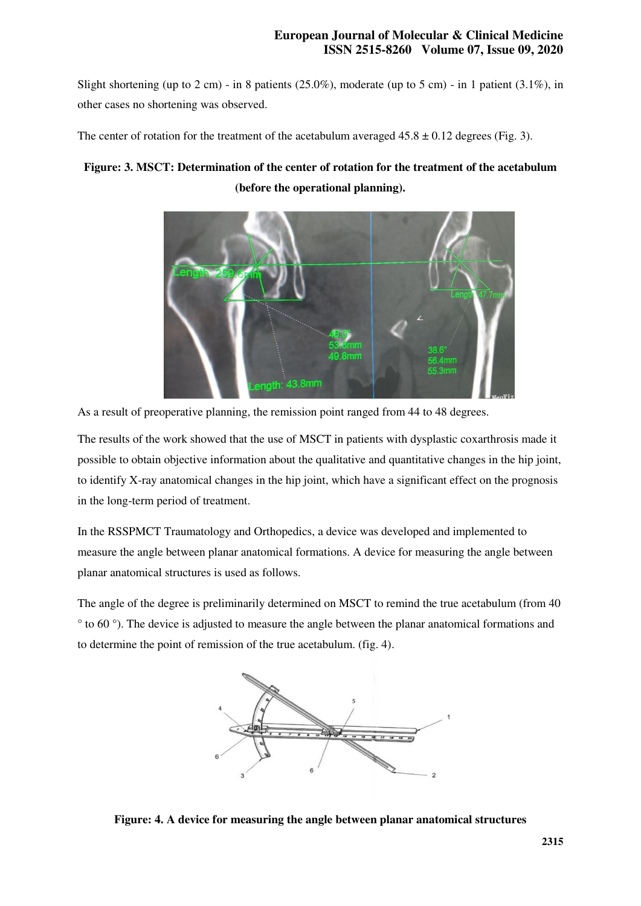Slight shortening (up to 2 cm) - in 8 patients  $(25.0\%)$ , moderate (up to 5 cm) - in 1 patient  $(3.1\%)$ , in other cases no shortening was observed.

The center of rotation for the treatment of the acetabulum averaged  $45.8 \pm 0.12$  degrees (Fig. 3).

# **Figure: 3. MSCT: Determination of the center of rotation for the treatment of the acetabulum (before the operational planning).**



As a result of preoperative planning, the remission point ranged from 44 to 48 degrees.

The results of the work showed that the use of MSCT in patients with dysplastic coxarthrosis made it possible to obtain objective information about the qualitative and quantitative changes in the hip joint, to identify X-ray anatomical changes in the hip joint, which have a significant effect on the prognosis in the long-term period of treatment.

In the RSSPMCT Traumatology and Orthopedics, a device was developed and implemented to measure the angle between planar anatomical formations. A device for measuring the angle between planar anatomical structures is used as follows.

The angle of the degree is preliminarily determined on MSCT to remind the true acetabulum (from 40 ° to 60 °). The device is adjusted to measure the angle between the planar anatomical formations and to determine the point of remission of the true acetabulum. (fig. 4).



**Figure: 4. A device for measuring the angle between planar anatomical structures**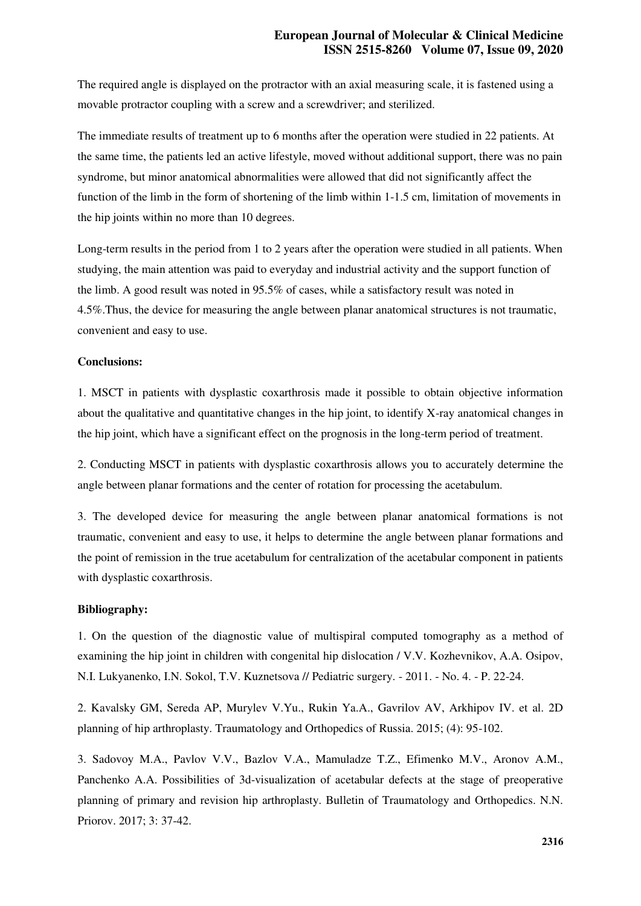The required angle is displayed on the protractor with an axial measuring scale, it is fastened using a movable protractor coupling with a screw and a screwdriver; and sterilized.

The immediate results of treatment up to 6 months after the operation were studied in 22 patients. At the same time, the patients led an active lifestyle, moved without additional support, there was no pain syndrome, but minor anatomical abnormalities were allowed that did not significantly affect the function of the limb in the form of shortening of the limb within 1-1.5 cm, limitation of movements in the hip joints within no more than 10 degrees.

Long-term results in the period from 1 to 2 years after the operation were studied in all patients. When studying, the main attention was paid to everyday and industrial activity and the support function of the limb. A good result was noted in 95.5% of cases, while a satisfactory result was noted in 4.5%.Thus, the device for measuring the angle between planar anatomical structures is not traumatic, convenient and easy to use.

#### **Conclusions:**

1. MSCT in patients with dysplastic coxarthrosis made it possible to obtain objective information about the qualitative and quantitative changes in the hip joint, to identify X-ray anatomical changes in the hip joint, which have a significant effect on the prognosis in the long-term period of treatment.

2. Conducting MSCT in patients with dysplastic coxarthrosis allows you to accurately determine the angle between planar formations and the center of rotation for processing the acetabulum.

3. The developed device for measuring the angle between planar anatomical formations is not traumatic, convenient and easy to use, it helps to determine the angle between planar formations and the point of remission in the true acetabulum for centralization of the acetabular component in patients with dysplastic coxarthrosis.

### **Bibliography:**

1. On the question of the diagnostic value of multispiral computed tomography as a method of examining the hip joint in children with congenital hip dislocation / V.V. Kozhevnikov, A.A. Osipov, N.I. Lukyanenko, I.N. Sokol, T.V. Kuznetsova // Pediatric surgery. - 2011. - No. 4. - P. 22-24.

2. Kavalsky GM, Sereda AP, Murylev V.Yu., Rukin Ya.A., Gavrilov AV, Arkhipov IV. et al. 2D planning of hip arthroplasty. Traumatology and Orthopedics of Russia. 2015; (4): 95-102.

3. Sadovoy M.A., Pavlov V.V., Bazlov V.A., Mamuladze T.Z., Efimenko M.V., Aronov A.M., Panchenko A.A. Possibilities of 3d-visualization of acetabular defects at the stage of preoperative planning of primary and revision hip arthroplasty. Bulletin of Traumatology and Orthopedics. N.N. Priorov. 2017; 3: 37-42.